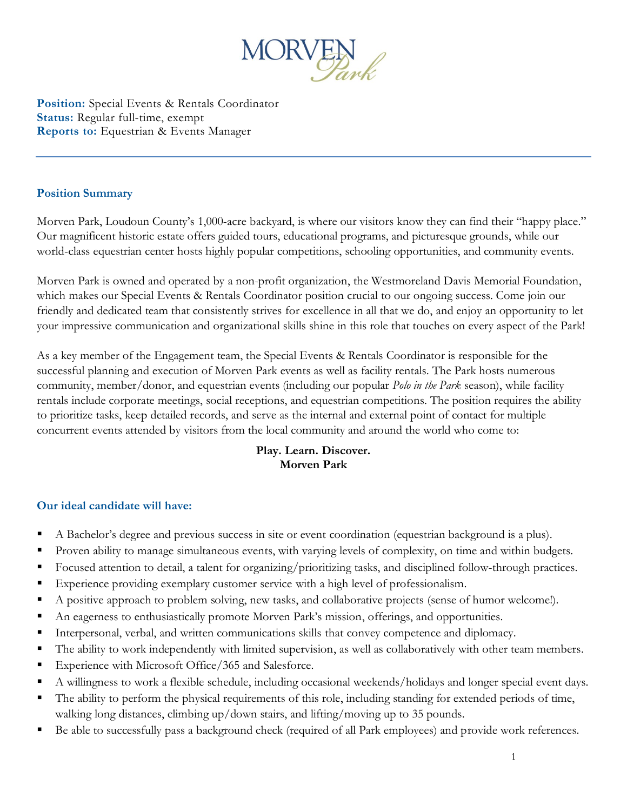

**Position:** Special Events & Rentals Coordinator **Status:** Regular full-time, exempt **Reports to:** Equestrian & Events Manager

### **Position Summary**

Morven Park, Loudoun County's 1,000-acre backyard, is where our visitors know they can find their "happy place." Our magnificent historic estate offers guided tours, educational programs, and picturesque grounds, while our world-class equestrian center hosts highly popular competitions, schooling opportunities, and community events.

Morven Park is owned and operated by a non-profit organization, the Westmoreland Davis Memorial Foundation, which makes our Special Events & Rentals Coordinator position crucial to our ongoing success. Come join our friendly and dedicated team that consistently strives for excellence in all that we do, and enjoy an opportunity to let your impressive communication and organizational skills shine in this role that touches on every aspect of the Park!

As a key member of the Engagement team, the Special Events & Rentals Coordinator is responsible for the successful planning and execution of Morven Park events as well as facility rentals. The Park hosts numerous community, member/donor, and equestrian events (including our popular *Polo in the Park* season), while facility rentals include corporate meetings, social receptions, and equestrian competitions. The position requires the ability to prioritize tasks, keep detailed records, and serve as the internal and external point of contact for multiple concurrent events attended by visitors from the local community and around the world who come to:

## **Play. Learn. Discover. Morven Park**

## **Our ideal candidate will have:**

- A Bachelor's degree and previous success in site or event coordination (equestrian background is a plus).
- Proven ability to manage simultaneous events, with varying levels of complexity, on time and within budgets.
- Focused attention to detail, a talent for organizing/prioritizing tasks, and disciplined follow-through practices.
- **Experience providing exemplary customer service with a high level of professionalism.**
- A positive approach to problem solving, new tasks, and collaborative projects (sense of humor welcome!).
- An eagerness to enthusiastically promote Morven Park's mission, offerings, and opportunities.
- **Interpersonal, verbal, and written communications skills that convey competence and diplomacy.**
- The ability to work independently with limited supervision, as well as collaboratively with other team members.
- Experience with Microsoft Office/365 and Salesforce.
- A willingness to work a flexible schedule, including occasional weekends/holidays and longer special event days.
- The ability to perform the physical requirements of this role, including standing for extended periods of time, walking long distances, climbing up/down stairs, and lifting/moving up to 35 pounds.
- Be able to successfully pass a background check (required of all Park employees) and provide work references.